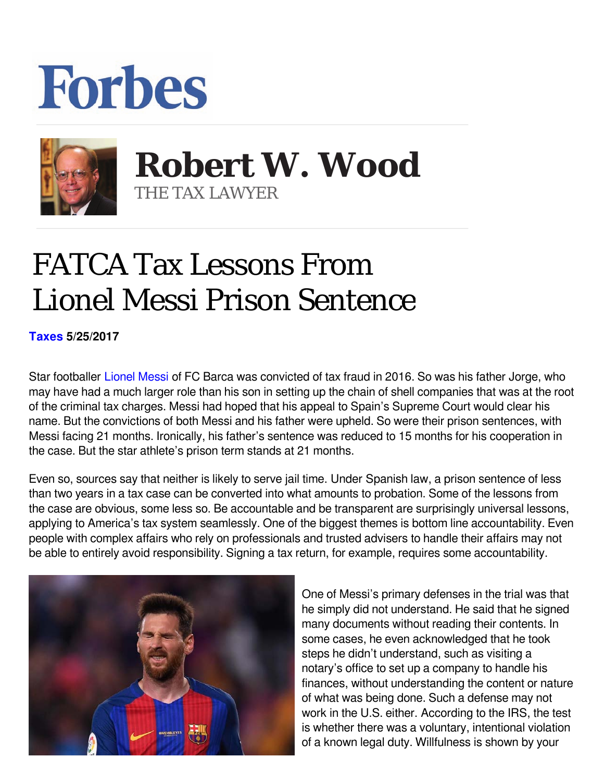## **Forbes**



 **Robert W. Wood** THE TAX LAWYER

## FATCA Tax Lessons From Lionel Messi Prison Sentence

**[Taxes](https://www.forbes.com/taxes) 5/25/2017** 

Star footballer [Lionel Messi](http://www.forbes.com/profile/lionel-messi/) of FC Barca was convicted of tax fraud in 2016. So was his father Jorge, who may have had a much larger role than his son in setting up the chain of shell companies that was at the root of the criminal tax charges. Messi had hoped that his appeal to Spain's Supreme Court would clear his name. But the convictions of both Messi and his father were upheld. So were their prison sentences, with Messi facing 21 months. Ironically, his father's sentence was reduced to 15 months for his cooperation in the case. But the star athlete's prison term stands at 21 months.

Even so, sources say that neither is likely to serve jail time. Under Spanish law, a prison sentence of less than two years in a tax case can be converted into what amounts to probation. Some of the lessons from the case are obvious, some less so. Be accountable and be transparent are surprisingly universal lessons, applying to America's tax system seamlessly. One of the biggest themes is bottom line accountability. Even people with complex affairs who rely on professionals and trusted advisers to handle their affairs may not be able to entirely avoid responsibility. Signing a tax return, for example, requires some accountability.



One of Messi's primary defenses in the trial was that he simply did not understand. He said that he signed many documents without reading their contents. In some cases, he even acknowledged that he took steps he didn't understand, such as visiting a notary's office to set up a company to handle his finances, without understanding the content or nature of what was being done. Such a defense may not work in the U.S. either. According to the IRS, the test is whether there was a voluntary, intentional violation of a known legal duty. Willfulness is shown by your